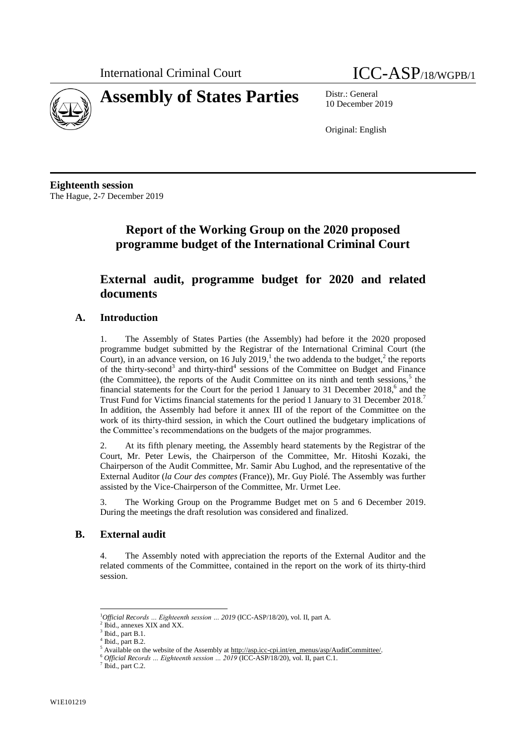



10 December 2019

Original: English

**Eighteenth session** The Hague, 2-7 December 2019

# **Report of the Working Group on the 2020 proposed programme budget of the International Criminal Court**

## **External audit, programme budget for 2020 and related documents**

#### **A. Introduction**

1. The Assembly of States Parties (the Assembly) had before it the 2020 proposed programme budget submitted by the Registrar of the International Criminal Court (the Court), in an advance version, on 16 July 2019,<sup>1</sup> the two addenda to the budget,<sup>2</sup> the reports of the thirty-second<sup>3</sup> and thirty-third<sup>4</sup> sessions of the Committee on Budget and Finance (the Committee), the reports of the Audit Committee on its ninth and tenth sessions, $5$  the financial statements for the Court for the period 1 January to 31 December 2018,<sup>6</sup> and the Trust Fund for Victims financial statements for the period 1 January to 31 December 2018.<sup>7</sup> In addition, the Assembly had before it annex III of the report of the Committee on the work of its thirty-third session, in which the Court outlined the budgetary implications of the Committee's recommendations on the budgets of the major programmes.

2. At its fifth plenary meeting, the Assembly heard statements by the Registrar of the Court, Mr. Peter Lewis, the Chairperson of the Committee, Mr. Hitoshi Kozaki, the Chairperson of the Audit Committee, Mr. Samir Abu Lughod, and the representative of the External Auditor (*la Cour des comptes* (France)), Mr. Guy Piolé. The Assembly was further assisted by the Vice-Chairperson of the Committee, Mr. Urmet Lee.

3. The Working Group on the Programme Budget met on 5 and 6 December 2019. During the meetings the draft resolution was considered and finalized.

#### **B. External audit**

4. The Assembly noted with appreciation the reports of the External Auditor and the related comments of the Committee, contained in the report on the work of its thirty-third session.

l <sup>1</sup>*Official Records … Eighteenth session … 2019* (ICC-ASP/18/20), vol. II, part A.

<sup>2</sup> Ibid., annexes XIX and XX.

 $3$  Ibid., part B.1.

<sup>4</sup> Ibid., part B.2.

Available on the website of the Assembly at [http://asp.icc-cpi.int/en\\_menus/asp/AuditCommittee/.](http://asp.icc-cpi.int/en_menus/asp/AuditCommittee/)

<sup>6</sup> *Official Records … Eighteenth session … 2019* (ICC-ASP/18/20), vol. II, part C.1.

 $7$  Ibid., part C.2.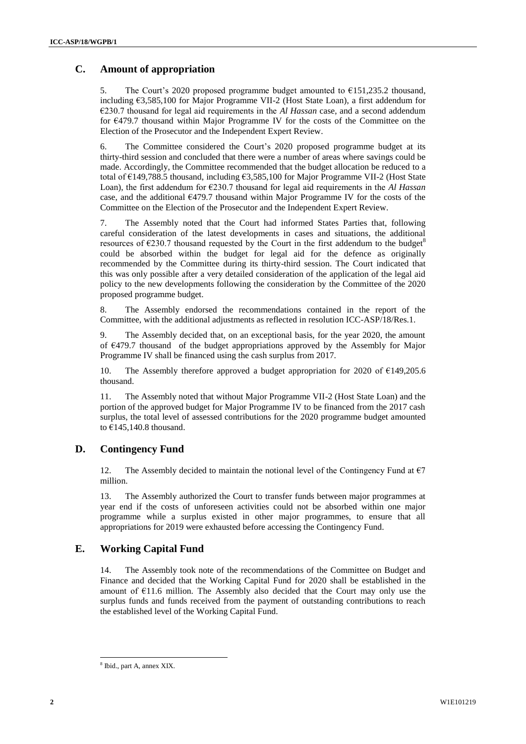## **C. Amount of appropriation**

5. The Court's 2020 proposed programme budget amounted to €151,235.2 thousand, including €3,585,100 for Major Programme VII-2 (Host State Loan), a first addendum for €230.7 thousand for legal aid requirements in the *Al Hassan* case, and a second addendum for €479.7 thousand within Major Programme IV for the costs of the Committee on the Election of the Prosecutor and the Independent Expert Review.

6. The Committee considered the Court's 2020 proposed programme budget at its thirty-third session and concluded that there were a number of areas where savings could be made. Accordingly, the Committee recommended that the budget allocation be reduced to a total of €149,788.5 thousand, including €3,585,100 for Major Programme VII-2 (Host State Loan), the first addendum for €230.7 thousand for legal aid requirements in the *Al Hassan* case, and the additional  $E$ 479.7 thousand within Major Programme IV for the costs of the Committee on the Election of the Prosecutor and the Independent Expert Review.

7. The Assembly noted that the Court had informed States Parties that, following careful consideration of the latest developments in cases and situations, the additional resources of  $\epsilon$ 230.7 thousand requested by the Court in the first addendum to the budget<sup>8</sup> could be absorbed within the budget for legal aid for the defence as originally recommended by the Committee during its thirty-third session. The Court indicated that this was only possible after a very detailed consideration of the application of the legal aid policy to the new developments following the consideration by the Committee of the 2020 proposed programme budget.

8. The Assembly endorsed the recommendations contained in the report of the Committee, with the additional adjustments as reflected in resolution ICC-ASP/18/Res.1.

9. The Assembly decided that, on an exceptional basis, for the year 2020, the amount of €479.7 thousand of the budget appropriations approved by the Assembly for Major Programme IV shall be financed using the cash surplus from 2017.

10. The Assembly therefore approved a budget appropriation for 2020 of  $E$ 149,205.6 thousand.

11. The Assembly noted that without Major Programme VII-2 (Host State Loan) and the portion of the approved budget for Major Programme IV to be financed from the 2017 cash surplus, the total level of assessed contributions for the 2020 programme budget amounted to  $\epsilon$ 145,140.8 thousand.

### **D. Contingency Fund**

12. The Assembly decided to maintain the notional level of the Contingency Fund at  $\epsilon$ 7 million.

13. The Assembly authorized the Court to transfer funds between major programmes at year end if the costs of unforeseen activities could not be absorbed within one major programme while a surplus existed in other major programmes, to ensure that all appropriations for 2019 were exhausted before accessing the Contingency Fund.

#### **E. Working Capital Fund**

The Assembly took note of the recommendations of the Committee on Budget and Finance and decided that the Working Capital Fund for 2020 shall be established in the amount of  $E11.6$  million. The Assembly also decided that the Court may only use the surplus funds and funds received from the payment of outstanding contributions to reach the established level of the Working Capital Fund.

l

<sup>8</sup> Ibid., part A, annex XIX.